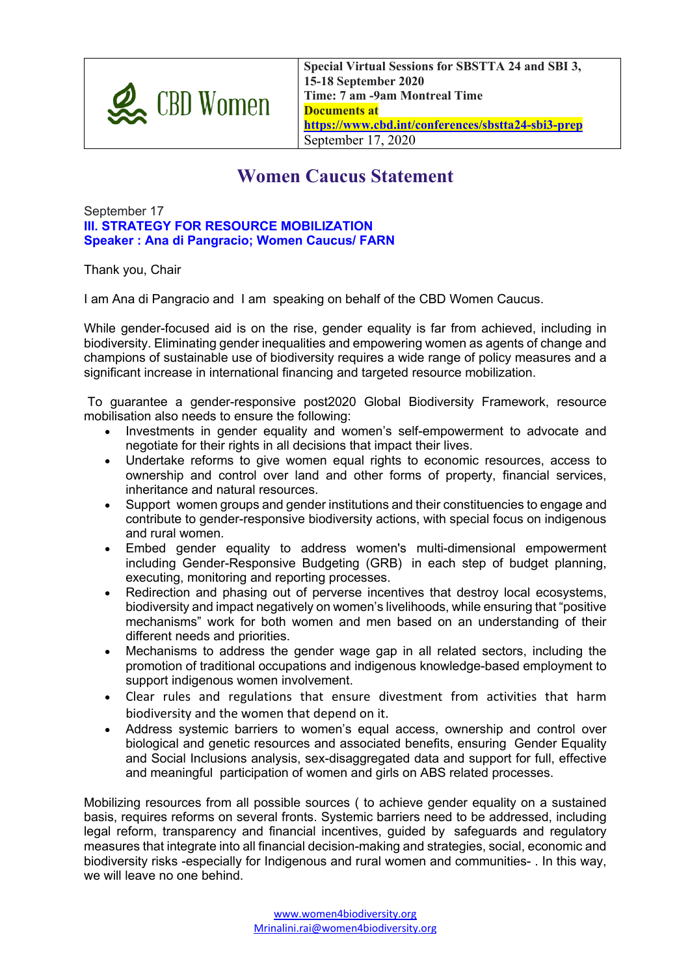

## **Women Caucus Statement**

September 17 **III. STRATEGY FOR RESOURCE MOBILIZATION Speaker : Ana di Pangracio; Women Caucus/ FARN**

Thank you, Chair

I am Ana di Pangracio and I am speaking on behalf of the CBD Women Caucus.

While gender-focused aid is on the rise, gender equality is far from achieved, including in biodiversity. Eliminating gender inequalities and empowering women as agents of change and champions of sustainable use of biodiversity requires a wide range of policy measures and a significant increase in international financing and targeted resource mobilization.

To guarantee a gender-responsive post2020 Global Biodiversity Framework, resource mobilisation also needs to ensure the following:

- Investments in gender equality and women's self-empowerment to advocate and negotiate for their rights in all decisions that impact their lives.
- Undertake reforms to give women equal rights to economic resources, access to ownership and control over land and other forms of property, financial services, inheritance and natural resources.
- Support women groups and gender institutions and their constituencies to engage and contribute to gender-responsive biodiversity actions, with special focus on indigenous and rural women.
- Embed gender equality to address women's multi-dimensional empowerment including Gender-Responsive Budgeting (GRB) in each step of budget planning, executing, monitoring and reporting processes.
- Redirection and phasing out of perverse incentives that destroy local ecosystems, biodiversity and impact negatively on women's livelihoods, while ensuring that "positive mechanisms" work for both women and men based on an understanding of their different needs and priorities.
- Mechanisms to address the gender wage gap in all related sectors, including the promotion of traditional occupations and indigenous knowledge-based employment to support indigenous women involvement.
- Clear rules and regulations that ensure divestment from activities that harm biodiversity and the women that depend on it.
- Address systemic barriers to women's equal access, ownership and control over biological and genetic resources and associated benefits, ensuring Gender Equality and Social Inclusions analysis, sex-disaggregated data and support for full, effective and meaningful participation of women and girls on ABS related processes.

Mobilizing resources from all possible sources ( to achieve gender equality on a sustained basis, requires reforms on several fronts. Systemic barriers need to be addressed, including legal reform, transparency and financial incentives, guided by safeguards and regulatory measures that integrate into all financial decision-making and strategies, social, economic and biodiversity risks -especially for Indigenous and rural women and communities- . In this way, we will leave no one behind.